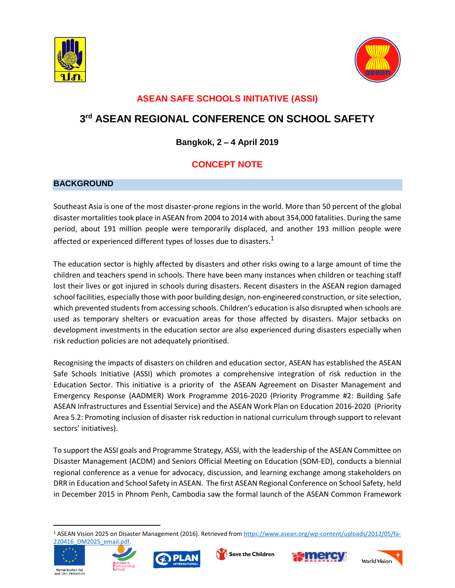



## **ASEAN SAFE SCHOOLS INITIATIVE (ASSI)**

# **3 rd ASEAN REGIONAL CONFERENCE ON SCHOOL SAFETY**

#### **Bangkok, 2** – **4 April 2019**

## **CONCEPT NOTE**

#### **BACKGROUND**

Southeast Asia is one of the most disaster-prone regions in the world. More than 50 percent of the global disaster mortalities took place in ASEAN from 2004 to 2014 with about 354,000 fatalities. During the same period, about 191 million people were temporarily displaced, and another 193 million people were affected or experienced different types of losses due to disasters.<sup>1</sup>

The education sector is highly affected by disasters and other risks owing to a large amount of time the children and teachers spend in schools. There have been many instances when children or teaching staff lost their lives or got injured in schools during disasters. Recent disasters in the ASEAN region damaged school facilities, especially those with poor building design, non-engineered construction, orsite selection, which prevented students from accessing schools. Children's education is also disrupted when schools are used as temporary shelters or evacuation areas for those affected by disasters. Major setbacks on development investments in the education sector are also experienced during disasters especially when risk reduction policies are not adequately prioritised.

Recognising the impacts of disasters on children and education sector, ASEAN has established the ASEAN Safe Schools Initiative (ASSI) which promotes a comprehensive integration of risk reduction in the Education Sector. This initiative is a priority of the ASEAN Agreement on Disaster Management and Emergency Response (AADMER) Work Programme 2016-2020 (Priority Programme #2: Building Safe ASEAN Infrastructures and Essential Service) and the ASEAN Work Plan on Education 2016-2020 (Priority Area 5.2: Promoting inclusion of disaster risk reduction in national curriculum through support to relevant sectors' initiatives).

To support the ASSI goals and Programme Strategy, ASSI, with the leadership of the ASEAN Committee on Disaster Management (ACDM) and Seniors Official Meeting on Education (SOM-ED), conducts a biennial regional conference as a venue for advocacy, discussion, and learning exchange among stakeholders on DRR in Education and School Safety in ASEAN. The first ASEAN Regional Conference on School Safety, held in December 2015 in Phnom Penh, Cambodia saw the formal launch of the ASEAN Common Framework

<sup>1</sup> ASEAN Vision 2025 on Disaster Management (2016). Retrieved from [https://www.asean.org/wp-content/uploads/2012/05/fa-](https://www.asean.org/wp-content/uploads/2012/05/fa-220416_DM2025_email.pdf)[220416\\_DM2025\\_email.pdf.](https://www.asean.org/wp-content/uploads/2012/05/fa-220416_DM2025_email.pdf)



 $\overline{a}$ 









Humanitarian Aid<br>and Civil Protection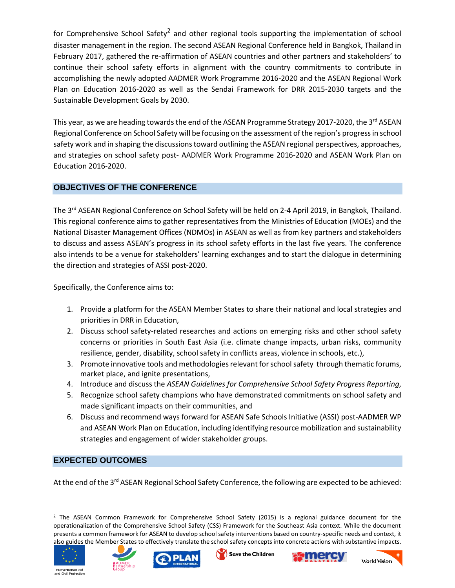for Comprehensive School Safety<sup>2</sup> and other regional tools supporting the implementation of school disaster management in the region. The second ASEAN Regional Conference held in Bangkok, Thailand in February 2017, gathered the re-affirmation of ASEAN countries and other partners and stakeholders' to continue their school safety efforts in alignment with the country commitments to contribute in accomplishing the newly adopted AADMER Work Programme 2016-2020 and the ASEAN Regional Work Plan on Education 2016-2020 as well as the Sendai Framework for DRR 2015-2030 targets and the Sustainable Development Goals by 2030.

This year, as we are heading towards the end of the ASEAN Programme Strategy 2017-2020, the 3<sup>rd</sup> ASEAN Regional Conference on School Safety will be focusing on the assessment of the region's progressin school safety work and in shaping the discussions toward outlining the ASEAN regional perspectives, approaches, and strategies on school safety post- AADMER Work Programme 2016-2020 and ASEAN Work Plan on Education 2016-2020.

#### **OBJECTIVES OF THE CONFERENCE**

The 3<sup>rd</sup> ASEAN Regional Conference on School Safety will be held on 2-4 April 2019, in Bangkok, Thailand. This regional conference aims to gather representatives from the Ministries of Education (MOEs) and the National Disaster Management Offices (NDMOs) in ASEAN as well as from key partners and stakeholders to discuss and assess ASEAN's progress in its school safety efforts in the last five years. The conference also intends to be a venue for stakeholders' learning exchanges and to start the dialogue in determining the direction and strategies of ASSI post-2020.

Specifically, the Conference aims to:

- 1. Provide a platform for the ASEAN Member States to share their national and local strategies and priorities in DRR in Education,
- 2. Discuss school safety-related researches and actions on emerging risks and other school safety concerns or priorities in South East Asia (i.e. climate change impacts, urban risks, community resilience, gender, disability, school safety in conflicts areas, violence in schools, etc.),
- 3. Promote innovative tools and methodologiesrelevant forschoolsafety through thematic forums, market place, and ignite presentations,
- 4. Introduce and discuss the *ASEAN Guidelines for Comprehensive School Safety Progress Reporting*,
- 5. Recognize school safety champions who have demonstrated commitments on school safety and made significant impacts on their communities, and
- 6. Discuss and recommend ways forward for ASEAN Safe Schools Initiative (ASSI) post-AADMER WP and ASEAN Work Plan on Education, including identifying resource mobilization and sustainability strategies and engagement of wider stakeholder groups.

#### **EXPECTED OUTCOMES**

At the end of the 3<sup>rd</sup> ASEAN Regional School Safety Conference, the following are expected to be achieved:

<sup>&</sup>lt;sup>2</sup> The ASEAN Common Framework for Comprehensive School Safety (2015) is a regional guidance document for the operationalization of the Comprehensive School Safety (CSS) Framework for the Southeast Asia context. While the document presents a common framework for ASEAN to develop school safety interventions based on country-specific needs and context, it also guides the Member States to effectively translate the school safety concepts into concrete actions with substantive impacts.



 $\overline{a}$ 





Save the Children



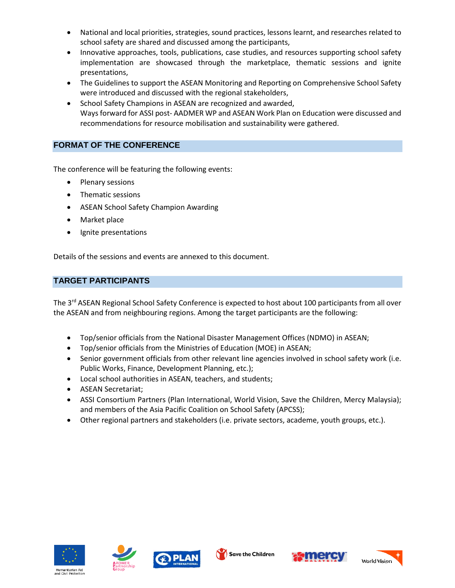- National and local priorities, strategies, sound practices, lessons learnt, and researches related to school safety are shared and discussed among the participants,
- Innovative approaches, tools, publications, case studies, and resources supporting school safety implementation are showcased through the marketplace, thematic sessions and ignite presentations,
- The Guidelines to support the ASEAN Monitoring and Reporting on Comprehensive School Safety were introduced and discussed with the regional stakeholders,
- School Safety Champions in ASEAN are recognized and awarded, Waysforward for ASSI post- AADMER WP and ASEAN Work Plan on Education were discussed and recommendations for resource mobilisation and sustainability were gathered.

#### **FORMAT OF THE CONFERENCE**

The conference will be featuring the following events:

- Plenary sessions
- Thematic sessions
- ASEAN School Safety Champion Awarding
- Market place
- Ignite presentations

Details of the sessions and events are annexed to this document.

### **TARGET PARTICIPANTS**

The 3<sup>rd</sup> ASEAN Regional School Safety Conference is expected to host about 100 participants from all over the ASEAN and from neighbouring regions. Among the target participants are the following:

- Top/senior officials from the National Disaster Management Offices (NDMO) in ASEAN;
- Top/senior officials from the Ministries of Education (MOE) in ASEAN;
- Senior government officials from other relevant line agencies involved in school safety work (i.e. Public Works, Finance, Development Planning, etc.);
- Local school authorities in ASEAN, teachers, and students;
- ASEAN Secretariat;
- ASSI Consortium Partners (Plan International, World Vision, Save the Children, Mercy Malaysia); and members of the Asia Pacific Coalition on School Safety (APCSS);
- Other regional partners and stakeholders (i.e. private sectors, academe, youth groups, etc.).









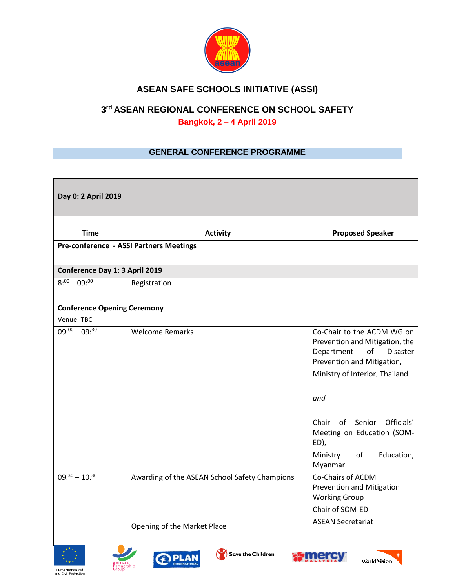

## **ASEAN SAFE SCHOOLS INITIATIVE (ASSI)**

# **3 rd ASEAN REGIONAL CONFERENCE ON SCHOOL SAFETY**

**Bangkok, 2** – **4 April 2019**

#### **GENERAL CONFERENCE PROGRAMME**

| Day 0: 2 April 2019                              |                                                                              |                                                                                                                                                                                                                                                                                       |  |  |
|--------------------------------------------------|------------------------------------------------------------------------------|---------------------------------------------------------------------------------------------------------------------------------------------------------------------------------------------------------------------------------------------------------------------------------------|--|--|
| <b>Time</b>                                      | <b>Activity</b>                                                              | <b>Proposed Speaker</b>                                                                                                                                                                                                                                                               |  |  |
|                                                  | Pre-conference - ASSI Partners Meetings                                      |                                                                                                                                                                                                                                                                                       |  |  |
| Conference Day 1: 3 April 2019                   |                                                                              |                                                                                                                                                                                                                                                                                       |  |  |
| $8:00 - 09:00$                                   | Registration                                                                 |                                                                                                                                                                                                                                                                                       |  |  |
| <b>Conference Opening Ceremony</b><br>Venue: TBC |                                                                              |                                                                                                                                                                                                                                                                                       |  |  |
| $\overline{09:00} - 09:30$                       | <b>Welcome Remarks</b>                                                       | Co-Chair to the ACDM WG on<br>Prevention and Mitigation, the<br>of<br>Disaster<br>Department<br>Prevention and Mitigation,<br>Ministry of Interior, Thailand<br>and<br>of Senior Officials'<br>Chair<br>Meeting on Education (SOM-<br>ED),<br>Education,<br>Ministry<br>of<br>Myanmar |  |  |
| $09.^{30} - 10.^{30}$                            | Awarding of the ASEAN School Safety Champions<br>Opening of the Market Place | Co-Chairs of ACDM<br>Prevention and Mitigation<br><b>Working Group</b><br>Chair of SOM-ED<br><b>ASEAN Secretariat</b>                                                                                                                                                                 |  |  |
| $x^*x$                                           | ZОУ<br>. .                                                                   |                                                                                                                                                                                                                                                                                       |  |  |









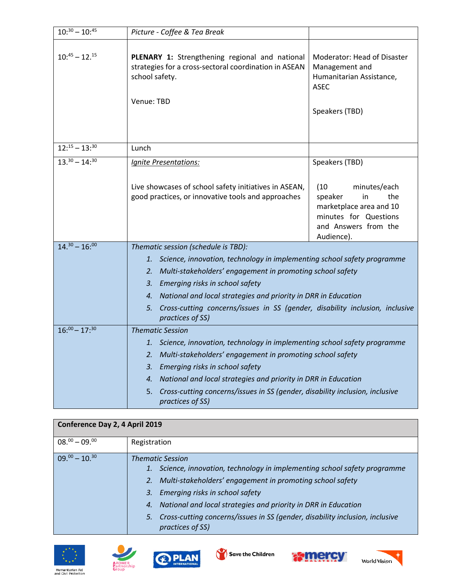| $10:30 - 10:45$       | Picture - Coffee & Tea Break                                                                                                            |                                                                                                                                                                                                                                                                                                 |  |  |
|-----------------------|-----------------------------------------------------------------------------------------------------------------------------------------|-------------------------------------------------------------------------------------------------------------------------------------------------------------------------------------------------------------------------------------------------------------------------------------------------|--|--|
| $10:^{45} - 12.^{15}$ | PLENARY 1: Strengthening regional and national<br>strategies for a cross-sectoral coordination in ASEAN<br>school safety.<br>Venue: TBD | Moderator: Head of Disaster<br>Management and<br>Humanitarian Assistance,<br><b>ASEC</b><br>Speakers (TBD)                                                                                                                                                                                      |  |  |
| $12:15 - 13:30$       | Lunch                                                                                                                                   |                                                                                                                                                                                                                                                                                                 |  |  |
| $13.^{30} - 14$ : 30  | Ignite Presentations:                                                                                                                   | Speakers (TBD)                                                                                                                                                                                                                                                                                  |  |  |
|                       | Live showcases of school safety initiatives in ASEAN,<br>good practices, or innovative tools and approaches                             | (10)<br>minutes/each<br>the<br>speaker<br>in<br>marketplace area and 10<br>minutes for Questions<br>and Answers from the<br>Audience).                                                                                                                                                          |  |  |
| $14.^{30} - 16$ ;00   | Thematic session (schedule is TBD):                                                                                                     |                                                                                                                                                                                                                                                                                                 |  |  |
|                       | 3. Emerging risks in school safety<br>5.<br>practices of SS)                                                                            | 1. Science, innovation, technology in implementing school safety programme<br>2. Multi-stakeholders' engagement in promoting school safety<br>4. National and local strategies and priority in DRR in Education<br>Cross-cutting concerns/issues in SS (gender, disability inclusion, inclusive |  |  |
| $16:00 - 17:30$       |                                                                                                                                         | <b>Thematic Session</b>                                                                                                                                                                                                                                                                         |  |  |
|                       | Emerging risks in school safety<br>3.<br>5.<br>practices of SS)                                                                         | 1. Science, innovation, technology in implementing school safety programme<br>2. Multi-stakeholders' engagement in promoting school safety<br>4. National and local strategies and priority in DRR in Education<br>Cross-cutting concerns/issues in SS (gender, disability inclusion, inclusive |  |  |

| Conference Day 2, 4 April 2019 |                                                                                                                                                                                                                                                                                                                                                                                               |  |  |  |
|--------------------------------|-----------------------------------------------------------------------------------------------------------------------------------------------------------------------------------------------------------------------------------------------------------------------------------------------------------------------------------------------------------------------------------------------|--|--|--|
| $08^{00} - 09^{00}$            | Registration                                                                                                                                                                                                                                                                                                                                                                                  |  |  |  |
| $09^{00} - 10^{30}$            | <b>Thematic Session</b><br>Science, innovation, technology in implementing school safety programme<br>1.<br>2. Multi-stakeholders' engagement in promoting school safety<br>3. Emerging risks in school safety<br>4. National and local strategies and priority in DRR in Education<br>Cross-cutting concerns/issues in SS (gender, disability inclusion, inclusive<br>5.<br>practices of SS) |  |  |  |